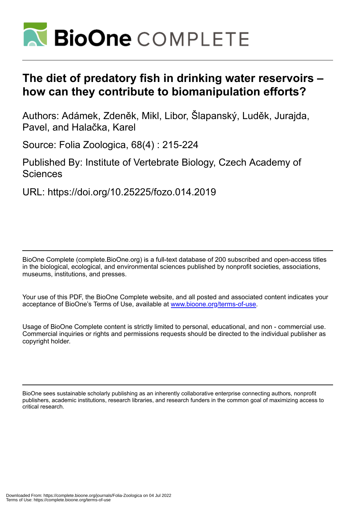

# **The diet of predatory fish in drinking water reservoirs – how can they contribute to biomanipulation efforts?**

Authors: Adámek, Zdeněk, Mikl, Libor, Šlapanský, Luděk, Jurajda, Pavel, and Halačka, Karel

Source: Folia Zoologica, 68(4) : 215-224

Published By: Institute of Vertebrate Biology, Czech Academy of Sciences

URL: https://doi.org/10.25225/fozo.014.2019

BioOne Complete (complete.BioOne.org) is a full-text database of 200 subscribed and open-access titles in the biological, ecological, and environmental sciences published by nonprofit societies, associations, museums, institutions, and presses.

Your use of this PDF, the BioOne Complete website, and all posted and associated content indicates your acceptance of BioOne's Terms of Use, available at www.bioone.org/terms-of-use.

Usage of BioOne Complete content is strictly limited to personal, educational, and non - commercial use. Commercial inquiries or rights and permissions requests should be directed to the individual publisher as copyright holder.

BioOne sees sustainable scholarly publishing as an inherently collaborative enterprise connecting authors, nonprofit publishers, academic institutions, research libraries, and research funders in the common goal of maximizing access to critical research.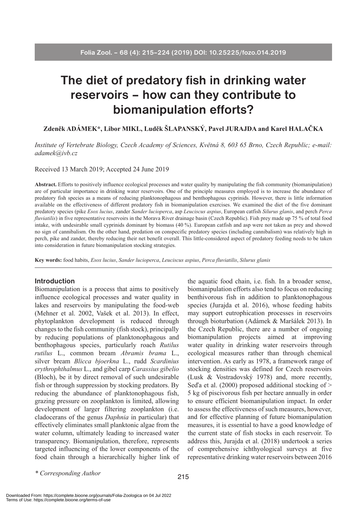# **The diet of predatory fish in drinking water reservoirs – how can they contribute to biomanipulation efforts?**

**Zdeněk ADÁMEK\*, Libor MIKL, Luděk ŠLAPANSKÝ, Pavel JURAJDA and Karel HALAČKA**

*Institute of Vertebrate Biology, Czech Academy of Sciences, Květná 8, 603 65 Brno, Czech Republic; e-mail: adamek@ivb.cz*

Received 13 March 2019; Accepted 24 June 2019

**Abstract.** Efforts to positively influence ecological processes and water quality by manipulating the fish community (biomanipulation) are of particular importance in drinking water reservoirs. One of the principle measures employed is to increase the abundance of predatory fish species as a means of reducing planktonophagous and benthophagous cyprinids. However, there is little information available on the effectiveness of different predatory fish in biomanipulation exercises. We examined the diet of the five dominant predatory species (pike *Esox lucius*, zander *Sander lucioperca*, asp *Leuciscus aspius*, European catfish *Silurus glanis*, and perch *Perca fluviatilis*) in five representative reservoirs in the Morava River drainage basin (Czech Republic). Fish prey made up 75 % of total food intake, with undesirable small cyprinids dominant by biomass (40 %). European catfish and asp were not taken as prey and showed no sign of cannibalism. On the other hand, predation on conspecific predatory species (including cannibalism) was relatively high in perch, pike and zander, thereby reducing their net benefit overall. This little-considered aspect of predatory feeding needs to be taken into consideration in future biomanipulation stocking strategies.

**Key words:** food habits, *Esox lucius*, *Sander lucioperca*, *Leuciscus aspius*, *Perca fluviatilis*, *Silurus glanis*

### **Introduction**

Biomanipulation is a process that aims to positively influence ecological processes and water quality in lakes and reservoirs by manipulating the food-web (Mehner et al. 2002, Vašek et al. 2013). In effect, phytoplankton development is reduced through changes to the fish community (fish stock), principally by reducing populations of planktonophagous and benthophagous species, particularly roach *Rutilus rutilus* L., common bream *Abramis brama* L., silver bream *Blicca bjoerkna* L., rudd *Scardinius erythrophthalmus* L., and gibel carp *Carassius gibelio*  (Bloch), be it by direct removal of such undesirable fish or through suppression by stocking predators. By reducing the abundance of planktonophagous fish, grazing pressure on zooplankton is limited, allowing development of larger filtering zooplankton (i.e. cladocerans of the genus *Daphnia* in particular) that effectively eliminates small planktonic algae from the water column, ultimately leading to increased water transparency. Biomanipulation, therefore, represents targeted influencing of the lower components of the food chain through a hierarchically higher link of the aquatic food chain, i.e. fish. In a broader sense, biomanipulation efforts also tend to focus on reducing benthivorous fish in addition to planktonophagous species (Jurajda et al. 2016), whose feeding habits may support eutrophication processes in reservoirs through bioturbation (Adámek & Maršálek 2013). In the Czech Republic, there are a number of ongoing biomanipulation projects aimed at improving water quality in drinking water reservoirs through ecological measures rather than through chemical intervention. As early as 1978, a framework range of stocking densities was defined for Czech reservoirs (Lusk & Vostradovský 1978) and, more recently, Seďa et al.  $(2000)$  proposed additional stocking of  $>$ 5 kg of piscivorous fish per hectare annually in order to ensure efficient biomanipulation impact. In order to assess the effectiveness of such measures, however, and for effective planning of future biomanipulation measures, it is essential to have a good knowledge of the current state of fish stocks in each reservoir. To address this, Jurajda et al. (2018) undertook a series of comprehensive ichthyological surveys at five representative drinking water reservoirs between 2016

*\* Corresponding Author*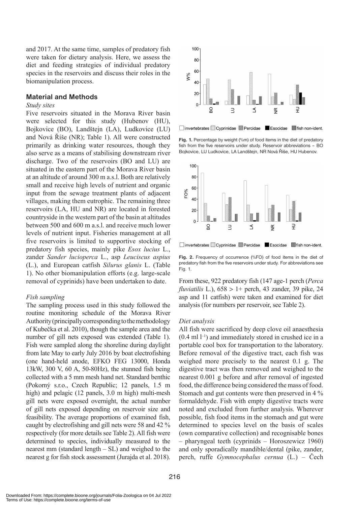and 2017. At the same time, samples of predatory fish were taken for dietary analysis. Here, we assess the diet and feeding strategies of individual predatory species in the reservoirs and discuss their roles in the biomanipulation process.

# **Material and Methods**

### *Study sites*

Five reservoirs situated in the Morava River basin were selected for this study (Hubenov (HU), Bojkovice (BO), Landštejn (LA), Ludkovice (LU) and Nová Říše (NR); Table 1). All were constructed primarily as drinking water resources, though they also serve as a means of stabilising downstream river discharge. Two of the reservoirs (BO and LU) are situated in the eastern part of the Morava River basin at an altitude of around 300 m a.s.l. Both are relatively small and receive high levels of nutrient and organic input from the sewage treatment plants of adjacent villages, making them eutrophic. The remaining three reservoirs (LA, HU and NR) are located in forested countryside in the western part of the basin at altitudes between 500 and 600 m a.s.l. and receive much lower levels of nutrient input. Fisheries management at all five reservoirs is limited to supportive stocking of predatory fish species, mainly pike *Esox lucius* L., zander *Sander lucioperca* L., asp *Leuciscus aspius*  (L.), and European catfish *Silurus glanis* L. (Table 1). No other biomanipulation efforts (e.g. large-scale removal of cyprinids) have been undertaken to date.

# *Fish sampling*

The sampling process used in this study followed the routine monitoring schedule of the Morava River Authority (principally corresponding to the methodology of Kubečka et al. 2010), though the sample area and the number of gill nets exposed was extended (Table 1). Fish were sampled along the shoreline during daylight from late May to early July 2016 by boat electrofishing (one hand‑held anode, EFKO FEG 13000, Honda 13kW, 300 V, 60 A, 50-80Hz), the stunned fish being collected with a 5 mm mesh hand net. Standard benthic (Pokorný s.r.o., Czech Republic; 12 panels, 1.5 m high) and pelagic (12 panels, 3.0 m high) multi-mesh gill nets were exposed overnight, the actual number of gill nets exposed depending on reservoir size and feasibility. The average proportions of examined fish, caught by electrofishing and gill nets were 58 and 42 % respectively (for more details see Table 2). All fish were determined to species, individually measured to the nearest mm (standard length – SL) and weighed to the nearest g for fish stock assessment (Jurajda et al. 2018).



□ invertebrates Cyprinidae **Z**Percidae Esocidae in fish non-ident.

**Fig. 1.** Percentage by weight (%m) of food items in the diet of predatory fish from the five reservoirs under study. Reservoir abbreviations – BO Bojkovice, LU Ludkovice, LA Landštejn, NR Nová Říše, HU Hubenov.



□ invertebrates Cyprinidae ZPercidae Esocidae Tish non-ident.

**Fig. 2.** Frequency of occurrence (%FO) of food items in the diet of predatory fish from the five reservoirs under study. For abbreviations see Fig. 1.

From these, 922 predatory fish (147 age-1 perch (*Perca fluviatilis* L.), 658 > 1+ perch, 43 zander, 39 pike, 24 asp and 11 catfish) were taken and examined for diet analysis (for numbers per reservoir, see Table 2).

#### *Diet analysis*

All fish were sacrificed by deep clove oil anaesthesia  $(0.4 \text{ ml } -1)$  and immediately stored in crushed ice in a portable cool box for transportation to the laboratory. Before removal of the digestive tract, each fish was weighed more precisely to the nearest 0.1 g. The digestive tract was then removed and weighed to the nearest 0.001 g before and after removal of ingested food, the difference being considered the mass of food. Stomach and gut contents were then preserved in 4 % formaldehyde. Fish with empty digestive tracts were noted and excluded from further analysis. Wherever possible, fish food items in the stomach and gut were determined to species level on the basis of scales (own comparative collection) and recognisable bones – pharyngeal teeth (cyprinids – Horoszewicz 1960) and only sporadically mandible/dental (pike, zander, perch, ruffe *Gymnocephalus cernua* (L.) – Čech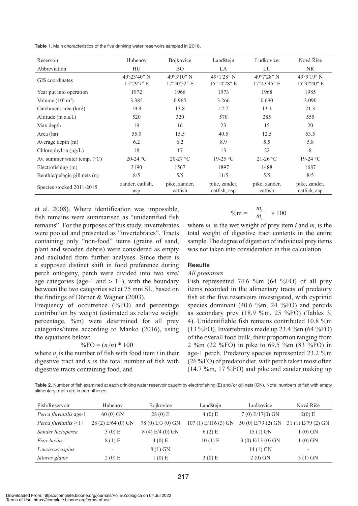**Table 1.** Main characteristics of the five drinking water reservoirs sampled in 2016.

| Reservoir                              | Hubenov                   | Bojkovice                           | Landštejn                     | Ludkovice                           | Nová Říše                     |
|----------------------------------------|---------------------------|-------------------------------------|-------------------------------|-------------------------------------|-------------------------------|
| Abbreviation                           | HU                        | <b>BO</b>                           | LA                            | LU                                  | NR.                           |
| GIS coordinates                        | 49°23'40" N<br>15°29'7" E | 49°3'10" N<br>$17^{\circ}50'52''$ E | 49°1′28″ N<br>15°14'28" E     | 49°7'28" N<br>$17^{\circ}43'45''$ E | 49°9'19" N<br>15°32'40" E     |
| Year put into operation                | 1972                      | 1966                                | 1973                          | 1968                                | 1985                          |
| Volume $(10^6 \text{ m}^3)$            | 3.385                     | 0.965                               | 3.266                         | 0.690                               | 3.090                         |
| Catchment area $(km2)$                 | 19.9                      | 13.8                                | 12.7                          | 13.1                                | 21.3                          |
| Altitude (m a.s.l.)                    | 520                       | 320                                 | 570                           | 285                                 | 555                           |
| Max depth                              | 19                        | 16                                  | 23                            | 15                                  | 20                            |
| Area (ha)                              | 55.0                      | 15.5                                | 40.5                          | 12.5                                | 53.5                          |
| Average depth (m)                      | 6.2                       | 6.2                                 | 8.9                           | 5.5                                 | 5.8                           |
| Chlorophyll-a $(\mu g/L)$              | 18                        | 17                                  | 13                            | 22                                  | 8                             |
| Av. summer water temp. $({}^{\circ}C)$ | $20-24$ °C                | $20-27$ °C                          | 19-25 °C                      | $21-26$ °C                          | 19-24 °C                      |
| Electrofishing (m)                     | 3190                      | 1567                                | 1897                          | 1488                                | 1687                          |
| Benthic/pelagic gill nets (n)          | 8/5                       | 5/5                                 | 11/5                          | 5/5                                 | 8/5                           |
| Species stocked 2011-2015              | zander, catfish,<br>asp   | pike, zander,<br>catfish            | pike, zander,<br>catfish, asp | pike, zander,<br>catfish            | pike, zander,<br>catfish, asp |

et al. 2008). Where identification was impossible, fish remains were summarised as "unidentified fish remains". For the purposes of this study, invertebrates were pooled and presented as "invertebrates". Tracts containing only "non-food" items (grains of sand, plant and wooden debris) were considered as empty and excluded from further analyses. Since there is a supposed distinct shift in food preference during perch ontogeny, perch were divided into two size/ age categories (age-1 and  $> 1+$ ), with the boundary between the two categories set at 75 mm SL, based on the findings of Dörner & Wagner (2003).

Frequency of occurrence (%FO) and percentage contribution by weight (estimated as relative weight percentage, %m) were determined for all prey categories/items according to Manko (2016), using the equations below:

$$
\%FO = (n/n) * 100
$$

where  $n_i$  is the number of fish with food item  $i$  in their digestive tract and *n* is the total number of fish with digestive tracts containing food, and

$$
\%m = \frac{m_i}{m_t} \quad *100
$$

where  $m_i$  is the wet weight of prey item  $i$  and  $m_i$  is the total weight of digestive tract contents in the entire sample. The degree of digestion of individual prey items was not taken into consideration in this calculation.

# **Results**

## *All predators*

Fish represented 74.6 %m (64 %FO) of all prey items recorded in the alimentary tracts of predatory fish at the five reservoirs investigated, with cyprinid species dominant (40.6 %m, 24 %FO) and percids as secondary prey (18.9 %m, 25 %FO) (Tables 3, 4). Unidentifiable fish remains contributed 10.8 %m (13 %FO). Invertebrates made up 23.4 %m (64 %FO) of the overall food bulk, their proportion ranging from 2 %m (22 %FO) in pike to 69.5 %m (83 %FO) in age-1 perch. Predatory species represented 23.2 %m (26 %FO) of predator diet, with perch taken most often (14.7 %m, 17 %FO) and pike and zander making up

**Table 2.** Number of fish examined at each drinking water reservoir caught by electrofishing (E) and/or gill nets (GN). Note: numbers of fish with empty alimentary tracts are in parentheses.

| Fish/Reservoir                     | Hubenov                  | <b>Bojkovice</b>  | Landštejn                | Ludkovice          | Nová Říše                |
|------------------------------------|--------------------------|-------------------|--------------------------|--------------------|--------------------------|
| Perca fluviatilis age-1            | $60(0)$ GN               | 28(0) E           | $4(0)$ E                 | $7(0) E/17(0)$ GN  | $2(0)$ E                 |
| <i>Perca fluviatilis</i> $\geq$ 1+ | 28 $(2)$ E/64 $(0)$ GN   | 78 (0) E/3 (0) GN | $107(1)$ E/116(3) GN     | 50 (0) E/79 (2) GN | 31 $(1)$ E/79 $(2)$ GN   |
| Sander lucioperca                  | 3(0) E                   | 8(4) E/4(0) GN    | 6(2) E                   | $15(1)$ GN         | 1 (0) GN                 |
| Esox lucius                        | 8(1) E                   | $4(0)$ E          | 10(1) E                  | 3(0) E/13(0) GN    | 1 (0) GN                 |
| Leuciscus aspius                   | $\overline{\phantom{0}}$ | $8(1)$ GN         | $\overline{\phantom{a}}$ | 14(1) GN           | $\overline{\phantom{a}}$ |
| Silurus glanis                     | $2(0)$ E                 | 1(0) E            | $3(0)$ E                 | $2(0)$ GN          | $3(1)$ GN                |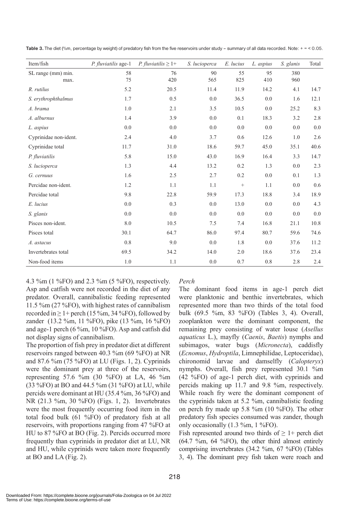| Item/fish                  | P. fluviatilis age-1 | <i>P.</i> fluviatilis $\geq 1+$ | S. lucioperca | E. lucius        | L. aspius | S. glanis  | Total   |
|----------------------------|----------------------|---------------------------------|---------------|------------------|-----------|------------|---------|
| SL range (mm) min.<br>max. | 58<br>75             | 76<br>420                       | 90<br>565     | 55<br>825        | 95<br>410 | 380<br>960 |         |
| R. rutilus                 | 5.2                  | 20.5                            | 11.4          | 11.9             | 14.2      | 4.1        | 14.7    |
| S. erythrophthalmus        | 1.7                  | 0.5                             | 0.0           | 36.5             | $0.0\,$   | 1.6        | 12.1    |
| A. brama                   | 1.0                  | 2.1                             | 3.5           | 10.5             | 0.0       | 25.2       | 8.3     |
| A. alburnus                | 1.4                  | 3.9                             | 0.0           | 0.1              | 18.3      | 3.2        | $2.8\,$ |
| L. aspius                  | 0.0                  | 0.0                             | 0.0           | 0.0              | 0.0       | 0.0        | 0.0     |
| Cyprinidae non-ident.      | 2.4                  | 4.0                             | 3.7           | 0.6              | 12.6      | 1.0        | $2.6\,$ |
| Cyprinidae total           | 11.7                 | 31.0                            | 18.6          | 59.7             | 45.0      | 35.1       | 40.6    |
| P. fluviatilis             | 5.8                  | 15.0                            | 43.0          | 16.9             | 16.4      | 3.3        | 14.7    |
| S. lucioperca              | 1.3                  | 4.4                             | 13.2          | 0.2              | 1.3       | 0.0        | 2.3     |
| G. cernuus                 | 1.6                  | 2.5                             | 2.7           | 0.2              | 0.0       | 0.1        | 1.3     |
| Percidae non-ident.        | 1.2                  | 1.1                             | 1.1           | $\boldsymbol{+}$ | 1.1       | 0.0        | 0.6     |
| Percidae total             | 9.8                  | 22.8                            | 59.9          | 17.3             | 18.8      | 3.4        | 18.9    |
| E. lucius                  | 0.0                  | 0.3                             | 0.0           | 13.0             | 0.0       | 0.0        | 4.3     |
| S. glanis                  | 0.0                  | 0.0                             | 0.0           | 0.0              | 0.0       | 0.0        | 0.0     |
| Pisces non-ident.          | 8.0                  | 10.5                            | 7.5           | 7.4              | 16.8      | 21.1       | 10.8    |
| Pisces total               | 30.1                 | 64.7                            | 86.0          | 97.4             | 80.7      | 59.6       | 74.6    |
| A. astacus                 | 0.8                  | 9.0                             | 0.0           | 1.8              | 0.0       | 37.6       | 11.2    |
| Invertebrates total        | 69.5                 | 34.2                            | 14.0          | $2.0$            | 18.6      | 37.6       | 23.4    |
| Non-food items             | $1.0\,$              | 1.1                             | $0.0\,$       | 0.7              | $0.8\,$   | 2.8        | 2.4     |

Table 3. The diet (%m, percentage by weight) of predatory fish from the five reservoirs under study - summary of all data recorded. Note: + = < 0.05.

4.3 %m (1 %FO) and 2.3 %m (5 %FO), respectively. Asp and catfish were not recorded in the diet of any predator. Overall, cannibalistic feeding represented 11.5 %m (27 %FO), with highest rates of cannibalism recorded in  $\geq 1$ + perch (15 %m, 34 %FO), followed by zander (13.2 %m, 11 %FO), pike (13 %m, 16 %FO) and age-1 perch (6 %m, 10 %FO). Asp and catfish did not display signs of cannibalism.

The proportion of fish prey in predator diet at different reservoirs ranged between 40.3 %m (69 %FO) at NR and 87.6 %m (75 %FO) at LU (Figs. 1, 2). Cyprinids were the dominant prey at three of the reservoirs, representing 57.6 %m (30 %FO) at LA, 46 %m (33 %FO) at BO and 44.5 %m (31 %FO) at LU, while percids were dominant at HU (35.4 %m, 36 %FO) and NR (21.3 %m, 30 %FO) (Figs. 1, 2). Invertebrates were the most frequently occurring food item in the total food bulk (61 %FO) of predatory fish at all reservoirs, with proportions ranging from 47 %FO at HU to 87 %FO at BO (Fig. 2). Percids occurred more frequently than cyprinids in predator diet at LU, NR and HU, while cyprinids were taken more frequently at BO and LA (Fig. 2).

# *Perch*

The dominant food items in age-1 perch diet were planktonic and benthic invertebrates, which represented more than two thirds of the total food bulk (69.5 %m, 83 %FO) (Tables 3, 4). Overall, zooplankton were the dominant component, the remaining prey consisting of water louse (*Asellus aquaticus* L.), mayfly (*Caenis*, *Baetis*) nymphs and subimagos, water bugs (*Micronecta*), caddisfly (*Ecnomus*, *Hydroptila*, Limnephilidae, Leptoceridae), chironomid larvae and damselfly (*Calopteryx*) nymphs. Overall, fish prey represented 30.1 %m (42 %FO) of age-1 perch diet, with cyprinids and percids making up 11.7 and 9.8 %m, respectively. While roach fry were the dominant component of the cyprinids taken at 5.2 %m, cannibalistic feeding on perch fry made up 5.8 %m (10 %FO). The other predatory fish species consumed was zander, though only occasionally (1.3 %m, 1 %FO).

Fish represented around two thirds of  $\geq 1+$  perch diet (64.7 %m, 64 %FO), the other third almost entirely comprising invertebrates (34.2 %m, 67 %FO) (Tables 3, 4). The dominant prey fish taken were roach and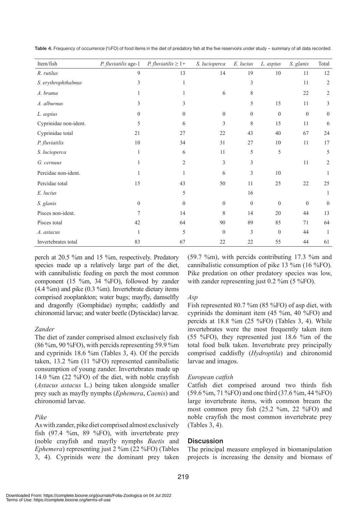| Item/fish             | P. fluviatilis age-1 | <i>P.</i> fluviatilis $\geq 1+$ | S. lucioperca | E. lucius      | L. aspius      | S. glanis      | Total          |
|-----------------------|----------------------|---------------------------------|---------------|----------------|----------------|----------------|----------------|
| R. rutilus            | 9                    | 13                              | 14            | 19             | $10\,$         | 11             | 12             |
| S. erythrophthalmus   | 3                    | 1                               |               | 3              |                | 11             | $\overline{2}$ |
| A. brama              |                      | 1                               | 6             | 8              |                | 22             | 2              |
| A. alburnus           | 3                    | 3                               |               | 5              | 15             | 11             | 3              |
| L. aspius             | $\overline{0}$       | $\mathbf{0}$                    | $\mathbf{0}$  | $\theta$       | $\overline{0}$ | $\overline{0}$ | $\overline{0}$ |
| Cyprinidae non-ident. | 5                    | 6                               | 3             | 8              | 15             | 11             | 6              |
| Cyprinidae total      | 21                   | 27                              | 22            | 43             | 40             | 67             | 24             |
| P. fluviatilis        | 10                   | 34                              | 31            | 27             | 10             | 11             | 17             |
| S. lucioperca         | 1                    | 6                               | 11            | 5              | 5              |                | 5              |
| G. cernuus            |                      | $\overline{2}$                  | 3             | 3              |                | 11             | 2              |
| Percidae non-ident.   |                      | 1                               | 6             | 3              | 10             |                | 1              |
| Percidae total        | 15                   | 43                              | 50            | 11             | 25             | 22             | 25             |
| E. lucius             |                      | 5                               |               | 16             |                |                | 1              |
| S. glanis             | $\boldsymbol{0}$     | $\theta$                        | $\theta$      | $\theta$       | $\theta$       | $\mathbf{0}$   | $\overline{0}$ |
| Pisces non-ident.     | 7                    | 14                              | 8             | 14             | 20             | 44             | 13             |
| Pisces total          | 42                   | 64                              | 90            | 89             | 85             | 71             | 64             |
| A. astacus            |                      | 5                               | $\Omega$      | $\mathfrak{Z}$ | $\overline{0}$ | 44             | 1              |
| Invertebrates total   | 83                   | 67                              | 22            | 22             | 55             | 44             | 61             |

Table 4. Frequency of occurrence (%FO) of food items in the diet of predatory fish at the five reservoirs under study - summary of all data recorded.

perch at 20.5 %m and 15 %m, respectively. Predatory species made up a relatively large part of the diet, with cannibalistic feeding on perch the most common component (15 %m, 34 %FO), followed by zander (4.4 %m) and pike (0.3 %m). Invertebrate dietary items comprised zooplankton; water bugs; mayfly, damselfly and dragonfly (Gomphidae) nymphs; caddisfly and chironomid larvae; and water beetle (Dytiscidae) larvae.

# *Zander*

The diet of zander comprised almost exclusively fish (86 %m, 90 %FO), with percids representing 59.9 %m and cyprinids 18.6 %m (Tables 3, 4). Of the percids taken, 13.2 %m (11 %FO) represented cannibalistic consumption of young zander. Invertebrates made up 14.0 %m (22 %FO) of the diet, with noble crayfish (*Astacus astacus* L.) being taken alongside smaller prey such as mayfly nymphs (*Ephemera*, *Caenis*) and chironomid larvae.

# *Pike*

As with zander, pike diet comprised almost exclusively fish (97.4 %m, 89 %FO), with invertebrate prey (noble crayfish and mayfly nymphs *Baetis* and *Ephemera*) representing just 2 %m (22 %FO) (Tables 3, 4). Cyprinids were the dominant prey taken

(59.7 %m), with percids contributing 17.3 %m and cannibalistic consumption of pike 13 %m (16 %FO). Pike predation on other predatory species was low, with zander representing just 0.2 %m (5 %FO).

# *Asp*

Fish represented 80.7 %m (85 %FO) of asp diet, with cyprinids the dominant item (45 %m, 40 %FO) and percids at  $18.8$  %m  $(25 \text{ %FO})$  (Tables 3, 4). While invertebrates were the most frequently taken item (55 %FO), they represented just 18.6 %m of the total food bulk taken. Invertebrate prey principally comprised caddisfly (*Hydroptila*) and chironomid larvae and imagos.

# *European catfish*

Catfish diet comprised around two thirds fish (59.6 %m, 71 %FO) and one third (37.6 %m, 44 %FO) large invertebrate items, with common bream the most common prey fish (25.2 %m, 22 %FO) and noble crayfish the most common invertebrate prey (Tables 3, 4).

# **Discussion**

The principal measure employed in biomanipulation projects is increasing the density and biomass of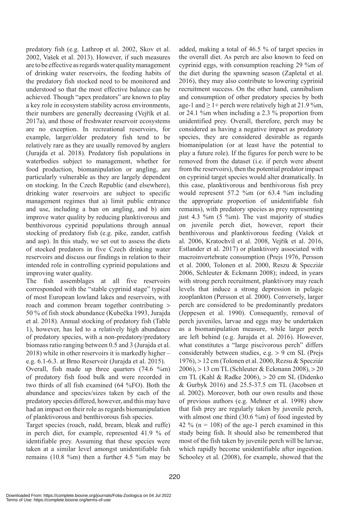predatory fish (e.g. Lathrop et al. 2002, Skov et al. 2002, Vašek et al. 2013). However, if such measures are to be effective as regards water quality management of drinking water reservoirs, the feeding habits of the predatory fish stocked need to be monitored and understood so that the most effective balance can be achieved. Though "apex predators" are known to play a key role in ecosystem stability across environments, their numbers are generally decreasing (Vejřík et al. 2017a), and those of freshwater reservoir ecosystems are no exception. In recreational reservoirs, for example, larger/older predatory fish tend to be relatively rare as they are usually removed by anglers (Jurajda et al. 2018). Predatory fish populations in waterbodies subject to management, whether for food production, biomanipulation or angling, are particularly vulnerable as they are largely dependent on stocking. In the Czech Republic (and elsewhere), drinking water reservoirs are subject to specific management regimes that a) limit public entrance and use, including a ban on angling, and b) aim improve water quality by reducing planktivorous and benthivorous cyprinid populations through annual stocking of predatory fish (e.g. pike, zander, catfish and asp). In this study, we set out to assess the diets of stocked predators in five Czech drinking water reservoirs and discuss our findings in relation to their intended role in controlling cyprinid populations and improving water quality.

The fish assemblages at all five reservoirs corresponded with the "stable cyprinid stage" typical of most European lowland lakes and reservoirs, with roach and common bream together contributing > 50 % of fish stock abundance (Kubečka 1993, Jurajda et al. 2018). Annual stocking of predatory fish (Table 1), however, has led to a relatively high abundance of predatory species, with a non-predatory/predatory biomass ratio ranging between 0.5 and 3 (Jurajda et al. 2018) while in other reservoirs it is markedly higher – e.g. 6.1-6.3. at Brno Reservoir (Jurajda et al. 2015).

Overall, fish made up three quarters (74.6 %m) of predatory fish food bulk and were recorded in two thirds of all fish examined (64 %FO). Both the abundance and species/sizes taken by each of the predatory species differed, however, and this may have had an impact on their role as regards biomanipulation of planktivorous and benthivorous fish species.

Target species (roach, rudd, bream, bleak and ruffe) in perch diet, for example, represented 41.9 % of identifiable prey. Assuming that these species were taken at a similar level amongst unidentifiable fish remains (10.8 %m) then a further 4.5 %m may be

added, making a total of 46.5 % of target species in the overall diet. As perch are also known to feed on cyprinid eggs, with consumption reaching 29 %m of the diet during the spawning season (Zapletal et al. 2016), they may also contribute to lowering cyprinid recruitment success. On the other hand, cannibalism and consumption of other predatory species by both age-1 and  $\geq$  1+ perch were relatively high at 21.9 %m, or 24.1 %m when including a 2.3 % proportion from unidentified prey. Overall, therefore, perch may be considered as having a negative impact as predatory species, they are considered desirable as regards biomanipulation (or at least have the potential to play a future role). If the figures for perch were to be removed from the dataset (i.e. if perch were absent from the reservoirs), then the potential predator impact on cyprinid target species would alter dramatically. In this case, planktivorous and benthivorous fish prey would represent 57.2 %m (or 63.4 %m including the appropriate proportion of unidentifiable fish remains), with predatory species as prey representing just 4.3 % m  $(5 \text{ %})$ . The vast majority of studies on juvenile perch diet, however, report their benthivorous and planktivorous feeding (Vašek et al. 2006, Kratochvíl et al. 2008, Vejřík et al. 2016, Estlander et al. 2017) or planktivory associated with macroinvertebrate consumption (Prejs 1976, Persson et al. 2000, Tolonen et al. 2000, Reszu & Specziár 2006, Schleuter & Eckmann 2008); indeed, in years with strong perch recruitment, planktivory may reach levels that induce a strong depression in pelagic zooplankton (Persson et al. 2000). Conversely, larger perch are considered to be predominantly predators (Jeppesen et al. 1990). Consequently, removal of perch juveniles, larvae and eggs may be undertaken as a biomanipulation measure, while larger perch are left behind (e.g. Jurajda et al. 2016). However, what constitutes a "large piscivorous perch" differs considerably between studies, e.g. > 9 cm SL (Prejs 1976), > 12 cm (Tolonen et al. 2000, Rezsu & Specziár 2006), > 13 cm TL (Schleuter & Eckmann 2008), > 20 cm TL (Kahl & Radke 2006), > 20 cm SL (Didenko & Gurbyk 2016) and 25.5-37.5 cm TL (Jacobsen et al. 2002). Moreover, both our own results and those of previous authors (e.g. Mehner et al. 1998) show that fish prey are regularly taken by juvenile perch, with almost one third (30.6 %m) of food ingested by 42 % ( $n = 108$ ) of the age-1 perch examined in this study being fish. It should also be remembered that most of the fish taken by juvenile perch will be larvae, which rapidly become unidentifiable after ingestion. Schooley et al. (2008), for example, showed that the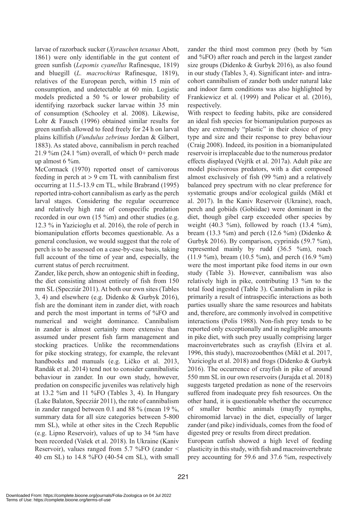larvae of razorback sucker (*Xyrauchen texanus* Abott, 1861) were only identifiable in the gut content of green sunfish (*Lepomis cyanellus* Rafinesque, 1819) and bluegill (*L. macrochirus* Rafinesque, 1819), relatives of the European perch, within 15 min of consumption, and undetectable at 60 min. Logistic models predicted a 50 % or lower probability of identifying razorback sucker larvae within 35 min of consumption (Schooley et al. 2008). Likewise, Lohr & Fausch (1996) obtained similar results for green sunfish allowed to feed freely for 24 h on larval plains killifish (*Fundulus zebrinus* Jordan & Gilbert, 1883). As stated above, cannibalism in perch reached  $21.9\%$ m (24.1 %m) overall, of which 0+ perch made up almost 6 %m.

McCormack (1970) reported onset of carnivorous feeding in perch at > 9 cm TL with cannibalism first occurring at 11.5-13.9 cm TL, while Brabrand (1995) reported intra-cohort cannibalism as early as the perch larval stages. Considering the regular occurrence and relatively high rate of conspecific predation recorded in our own (15 %m) and other studies (e.g. 12.3 % in Yazicioglu et al. 2016), the role of perch in biomanipulation efforts becomes questionable. As a general conclusion, we would suggest that the role of perch is to be assessed on a case-by-case basis, taking full account of the time of year and, especially, the current status of perch recruitment.

Zander, like perch, show an ontogenic shift in feeding, the diet consisting almost entirely of fish from 150 mm SL (Specziár 2011). At both our own sites (Tables 3, 4) and elsewhere (e.g. Didenko & Gurbyk 2016), fish are the dominant item in zander diet, with roach and perch the most important in terms of %FO and numerical and weight dominance. Cannibalism in zander is almost certainly more extensive than assumed under present fish farm management and stocking practices. Unlike the recommendations for pike stocking strategy, for example, the relevant handbooks and manuals (e.g. Ličko et al. 2013, Randák et al. 2014) tend not to consider cannibalistic behaviour in zander. In our own study, however, predation on conspecific juveniles was relatively high at  $13.2$  %m and  $11$  %FO (Tables 3, 4). In Hungary (Lake Balaton, Specziár 2011), the rate of cannibalism in zander ranged between 0.1 and 88 % (mean 19 %, summary data for all size categories between 5-800 mm SL), while at other sites in the Czech Republic (e.g. Lipno Reservoir), values of up to 34 %m have been recorded (Vašek et al. 2018). In Ukraine (Kaniv Reservoir), values ranged from 5.7 %FO (zander < 40 cm SL) to 14.8 %FO (40-54 cm SL), with small

zander the third most common prey (both by %m and %FO) after roach and perch in the largest zander size groups (Didenko & Gurbyk 2016), as also found in our study (Tables 3, 4). Significant inter- and intracohort cannibalism of zander both under natural lake and indoor farm conditions was also highlighted by Frankiewicz et al. (1999) and Policar et al. (2016), respectively.

With respect to feeding habits, pike are considered an ideal fish species for biomanipulation purposes as they are extremely "plastic" in their choice of prey type and size and their response to prey behaviour (Craig 2008). Indeed, its position in a biomanipulated reservoir is irreplaceable due to the numerous predator effects displayed (Vejřík et al. 2017a). Adult pike are model piscivorous predators, with a diet composed almost exclusively of fish (99 %m) and a relatively balanced prey spectrum with no clear preference for systematic groups and/or ecological guilds (Mikl et al. 2017). In the Kaniv Reservoir (Ukraine), roach, perch and gobiids (Gobiidae) were dominant in the diet, though gibel carp exceeded other species by weight (40.3 %m), followed by roach (13.4 %m), bream (13.3 %m) and perch (12.6 %m) (Didenko  $\&$ Gurbyk 2016). By comparison, cyprinids (59.7 %m), represented mainly by rudd (36.5 %m), roach (11.9 %m), bream (10.5 %m), and perch (16.9 %m) were the most important pike food items in our own study (Table 3). However, cannibalism was also relatively high in pike, contributing 13 %m to the total food ingested (Table 3). Cannibalism in pike is primarily a result of intraspecific interactions as both parties usually share the same resources and habitats and, therefore, are commonly involved in competitive interactions (Polis 1988). Non-fish prey tends to be reported only exceptionally and in negligible amounts in pike diet, with such prey usually comprising larger macroinvertebrates such as crayfish (Elvira et al. 1996, this study), macrozoobenthos (Mikl et al. 2017, Yazicioglu et al. 2018) and frogs (Didenko & Gurbyk 2016). The occurrence of crayfish in pike of around 550 mm SL in our own reservoirs (Jurajda et al. 2018) suggests targeted predation as none of the reservoirs suffered from inadequate prey fish resources. On the other hand, it is questionable whether the occurrence of smaller benthic animals (mayfly nymphs, chiromomid larvae) in the diet, especially of larger zander (and pike) individuals, comes from the food of digested prey or results from direct predation.

European catfish showed a high level of feeding plasticity in this study, with fish and macroinvertebrate prey accounting for 59.6 and 37.6 %m, respectively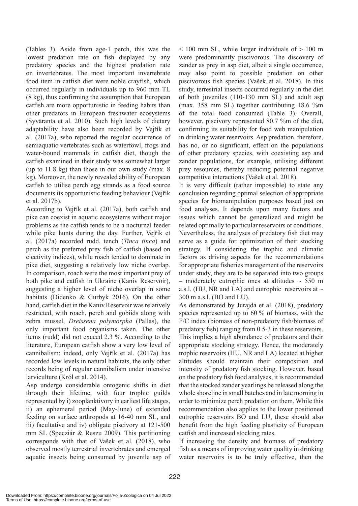(Tables 3). Aside from age-1 perch, this was the lowest predation rate on fish displayed by any predatory species and the highest predation rate on invertebrates. The most important invertebrate food item in catfish diet were noble crayfish, which occurred regularly in individuals up to 960 mm TL (8 kg), thus confirming the assumption that European catfish are more opportunistic in feeding habits than other predators in European freshwater ecosystems (Syväranta et al. 2010). Such high levels of dietary adaptability have also been recorded by Vejřík et al. (2017a), who reported the regular occurrence of semiaquatic vertebrates such as waterfowl, frogs and water-bound mammals in catfish diet, though the catfish examined in their study was somewhat larger (up to 11.8 kg) than those in our own study (max. 8 kg). Moreover, the newly revealed ability of European catfish to utilise perch egg strands as a food source documents its opportunistic feeding behaviour (Vejřík et al. 2017b).

According to Vejřík et al. (2017a), both catfish and pike can coexist in aquatic ecosystems without major problems as the catfish tends to be a nocturnal feeder while pike hunts during the day. Further, Vejřík et al. (2017a) recorded rudd, tench (*Tinca tinca*) and perch as the preferred prey fish of catfish (based on electivity indices), while roach tended to dominate in pike diet, suggesting a relatively low niche overlap. In comparison, roach were the most important prey of both pike and catfish in Ukraine (Kaniv Reservoir), suggesting a higher level of niche overlap in some habitats (Didenko & Gurbyk 2016). On the other hand, catfish diet in the Kaniv Reservoir was relatively restricted, with roach, perch and gobiids along with zebra mussel, *Dreissena polymorpha* (Pallas), the only important food organisms taken. The other items (rudd) did not exceed 2.3 %. According to the literature, European catfish show a very low level of cannibalism; indeed, only Vejřík et al. (2017a) has recorded low levels in natural habitats, the only other records being of regular cannibalism under intensive larviculture (Król et al. 2014).

Asp undergo considerable ontogenic shifts in diet through their lifetime, with four trophic guilds represented by i) zooplanktivory in earliest life stages, ii) an ephemeral period (May-June) of extended feeding on surface arthropods at 16-40 mm SL, and iii) facultative and iv) obligate piscivory at 121-500 mm SL (Specziár & Reszu 2009). This partitioning corresponds with that of Vašek et al. (2018), who observed mostly terrestrial invertebrates and emerged aquatic insects being consumed by juvenile asp of  $<$  100 mm SL, while larger individuals of  $> 100$  m were predominantly piscivorous. The discovery of zander as prey in asp diet, albeit a single occurrence, may also point to possible predation on other piscivorous fish species (Vašek et al. 2018). In this study, terrestrial insects occurred regularly in the diet of both juveniles (110-130 mm SL) and adult asp (max. 358 mm SL) together contributing 18.6 %m of the total food consumed (Table 3). Overall, however, piscivory represented 80.7 %m of the diet, confirming its suitability for food web manipulation in drinking water reservoirs. Asp predation, therefore, has no, or no significant, effect on the populations of other predatory species, with coexisting asp and zander populations, for example, utilising different prey resources, thereby reducing potential negative competitive interactions (Vašek et al. 2018).

It is very difficult (rather impossible) to state any conclusion regarding optimal selection of appropriate species for biomanipulation purposes based just on food analyses. It depends upon many factors and issues which cannot be generalized and might be related optimally to particular reservoirs or conditions. Nevertheless, the analyses of predatory fish diet may serve as a guide for optimization of their stocking strategy. If considering the trophic and climatic factors as driving aspects for the recommendations for appropriate fisheries management of the reservoirs under study, they are to be separated into two groups – moderately eutrophic ones at altitudes  $\sim$  550 m a.s.l. (HU, NR and LA) and eutrophic reservoirs at  $\sim$ 300 m a.s.l. (BO and LU).

As demonstrated by Jurajda et al. (2018), predatory species represented up to 60 % of biomass, with the F/C index (biomass of non-predatory fish/biomass of predatory fish) ranging from 0.5-3 in these reservoirs. This implies a high abundance of predators and their appropriate stocking strategy. Hence, the moderately trophic reservoirs (HU, NR and LA) located at higher altitudes should maintain their composition and intensity of predatory fish stocking. However, based on the predatory fish food analyses, it is recommended that the stocked zander yearlings be released along the whole shoreline in small batches and in late morning in order to minimize perch predation on them. While this recommendation also applies to the lower positioned eutrophic reservoirs BO and LU, these should also benefit from the high feeding plasticity of European catfish and increased stocking rates.

If increasing the density and biomass of predatory fish as a means of improving water quality in drinking water reservoirs is to be truly effective, then the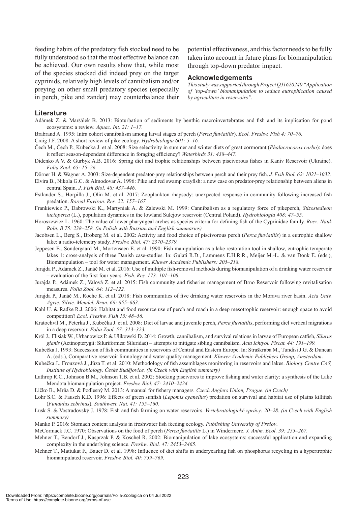feeding habits of the predatory fish stocked need to be fully understood so that the most effective balance can be achieved. Our own results show that, while most of the species stocked did indeed prey on the target cyprinids, relatively high levels of cannibalism and/or preying on other small predatory species (especially in perch, pike and zander) may counterbalance their potential effectiveness, and this factor needs to be fully taken into account in future plans for biomanipulation through top-down predator impact.

### **Acknowledgements**

*This study was supported through Project QJ1620240 "Application of 'top-down' biomanipulation to reduce eutrophication caused by agriculture in reservoirs".*

## **Literature**

Adámek Z. & Maršálek B. 2013: Bioturbation of sediments by benthic macroinvertebrates and fish and its implication for pond ecosystems: a review. *Aquac. Int. 21: 1–17.*

- Brabrand A. 1995: Intra cohort cannibalism among larval stages of perch (*Perca fluviatilis*). *Ecol. Freshw. Fish 4: 70–76.*
- Craig J.F. 2008: A short review of pike ecology. *Hydrobiologia 601: 5–16.*

Čech M., Čech P., Kubečka J. et al. 2008: Size selectivity in summer and winter diets of great cormorant (*Phalacrocorax carbo*): does it reflect season-dependent difference in foraging efficiency? *Waterbirds 31: 438–447.*

Didenko A.V. & Gurbyk A.B. 2016: Spring diet and trophic relationships between piscivorous fishes in Kaniv Reservoir (Ukraine). *Folia Zool. 65: 15–26.*

Dörner H. & Wagner A. 2003: Size-dependent predator-prey relationships between perch and their prey fish. *J. Fish Biol. 62: 1021–1032.*

Elvira B., Nikola G.C. & Almodovar A. 1996: Pike and red swamp crayfish: a new case on predator-prey relationship between aliens in central Spain. *J. Fish Biol. 48: 437–446.*

- Estlander S., Horpilla J., Olin M. et al. 2017: Zooplankton rhapsody: unexpected response in community following increased fish predation. *Boreal Environ. Res. 22: 157–167.*
- Frankiewicz P., Dabrowski K., Martyniak A. & Zalewski M. 1999: Cannibalism as a regulatory force of pikeperch, *Stizostedieon lucioperca* (L.), population dynamics in the lowland Sulejow reservoir (Central Poland). *Hydrobiologia 408: 47–55.*
- Horoszewicz L. 1960: The value of lower pharyngeal arches as species criteria for defining fish of the Cyprinidae family. *Rocz. Nauk Roln. B 75: 238–258. (in Polish with Russian and English summaries)*
- Jacobsen L., Berg S., Broberg M. et al. 2002: Activity and food choice of piscivorous perch (*Perca fluviatilis*) in a eutrophic shallow lake: a radio-telemetry study. *Freshw. Biol. 47: 2370–2379.*
- Jeppesen E., Sondergaard M., Mortensaen E. et al. 1990: Fish manipulation as a lake restoration tool in shallow, eutrophic temperate lakes 1: cross-analysis of three Danish case-studies. In: Gulati R.D., Lammens E.H.R.R., Meijer M.-L. & van Donk E. (eds.), Biomanipulation – tool for water management. *Kluwer Academic Publishers: 205–218.*
- Jurajda P., Adámek Z., Janáč M. et al. 2016: Use of multiple fish-removal methods during biomanipulation of a drinking water reservoir – evaluation of the first four years. *Fish. Res. 173: 101–108.*
- Jurajda P., Adámek Z., Valová Z. et al. 2015: Fish community and fisheries management of Brno Reservoir following revitalisation measures. *Folia Zool. 64: 112–122.*
- Jurajda P., Janáč M., Roche K. et al. 2018: Fish communities of five drinking water reservoirs in the Morava river basin. *Acta Univ. Agric. Silvic. Mendel. Brun. 66: 655–663.*
- Kahl U. & Radke R.J. 2006: Habitat and food resource use of perch and roach in a deep mesotrophic reservoir: enough space to avoid competition? *Ecol. Freshw. Fish 15: 48–56.*
- Kratochvíl M., Peterka J., Kubečka J. et al. 2008: Diet of larvae and juvenile perch, *Perca fluviatilis*, performing diel vertical migrations in a deep reservoir. *Folia Zool. 57: 313–323.*
- Król J., Flisiak W., Urbanowicz P. & Ulikowski D. 2014: Growth, cannibalism, and survival relations in larvae of European catfish, *Silurus glanis* (Actinopterygii: Siluriformes: Siluridae) – attempts to mitigate sibling cannibalism. *Acta Ichtyol. Piscat. 44: 191–199.*

Kubečka J. 1993: Succession of fish communities in reservoirs of Central and Eastern Europe. In: Straškraba M., Tundisi J.G. & Duncan A. (eds.), Comparative reservoir limnology and water quality management. *Kluwer Academic Publishers Group, Amsterdam*.

Kubečka J., Frouzová J., Jůza T. et al. 2010: Methodology of fish assemblages monitoring in reservoirs and lakes. *Biology Centre CAS, Institute of Hydrobiology, České Budějovice. (in Czech with English summary)* 

Lathrop R.C., Johnson B.M., Johnson T.B. et al. 2002: Stocking piscivores to improve fishing and water clarity: a synthesis of the Lake Mendota biomanipulation project. *Freshw. Biol. 47: 2410–2424.*

Ličko B., Mrňa D. & Podlesný M. 2013: A manual for fishery managers*. Czech Anglers Union, Prague. (in Czech)*

- Lohr S.C. & Fausch K.D. 1996: Effects of green sunfish (*Lepomis cyanellus*) predation on survival and habitat use of plains killifish (*Fundulus zebrinus*). *Southwest. Nat. 41: 155–160.*
- Lusk S. & Vostradovský J. 1978: Fish and fish farming on water reservoirs. *Vertebratologické zprávy: 20–28. (in Czech with English summary)*

Manko P. 2016: Stomach content analysis in freshwater fish feeding ecology. *Publishing University of Prešov*.

McCormack J.C. 1970: Observations on the food of perch (*Perca fluviatilis* L.) in Windermere. *J. Anim. Ecol. 39: 255–267.*

- Mehner T., Bendorf J., Kasprzak P. & Koschel R. 2002: Biomanipulation of lake ecosystems: successful application and expanding complexity in the underlying science. *Freshw. Biol. 47: 2453–2465.*
- Mehner T., Mattukat F., Bauer D. et al. 1998: Influence of diet shifts in underyearling fish on phosphorus recycling in a hypertrophic biomanipulated reservoir. *Freshw. Biol. 40: 759–769.*